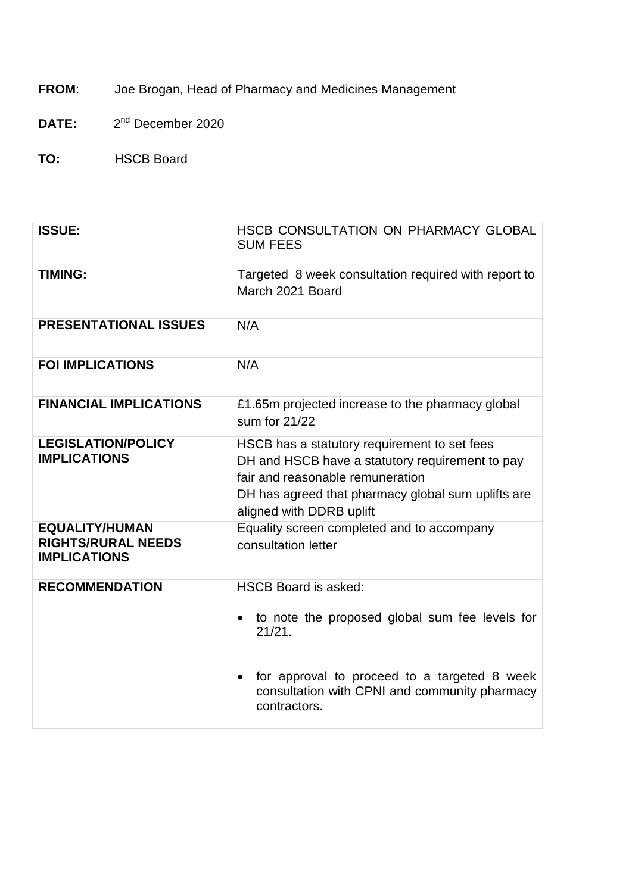**FROM**: Joe Brogan, Head of Pharmacy and Medicines Management

**DATE:** 2 2<sup>nd</sup> December 2020

**TO:** HSCB Board

| <b>ISSUE:</b>                                                             | HSCB CONSULTATION ON PHARMACY GLOBAL<br><b>SUM FEES</b>                                                                                                                                                                            |
|---------------------------------------------------------------------------|------------------------------------------------------------------------------------------------------------------------------------------------------------------------------------------------------------------------------------|
| <b>TIMING:</b>                                                            | Targeted 8 week consultation required with report to<br>March 2021 Board                                                                                                                                                           |
| <b>PRESENTATIONAL ISSUES</b>                                              | N/A                                                                                                                                                                                                                                |
| <b>FOI IMPLICATIONS</b>                                                   | N/A                                                                                                                                                                                                                                |
| <b>FINANCIAL IMPLICATIONS</b>                                             | £1.65m projected increase to the pharmacy global<br>sum for 21/22                                                                                                                                                                  |
| <b>LEGISLATION/POLICY</b><br><b>IMPLICATIONS</b>                          | HSCB has a statutory requirement to set fees<br>DH and HSCB have a statutory requirement to pay<br>fair and reasonable remuneration<br>DH has agreed that pharmacy global sum uplifts are<br>aligned with DDRB uplift              |
| <b>EQUALITY/HUMAN</b><br><b>RIGHTS/RURAL NEEDS</b><br><b>IMPLICATIONS</b> | Equality screen completed and to accompany<br>consultation letter                                                                                                                                                                  |
| <b>RECOMMENDATION</b>                                                     | <b>HSCB Board is asked:</b><br>to note the proposed global sum fee levels for<br>$\bullet$<br>21/21.<br>for approval to proceed to a targeted 8 week<br>$\bullet$<br>consultation with CPNI and community pharmacy<br>contractors. |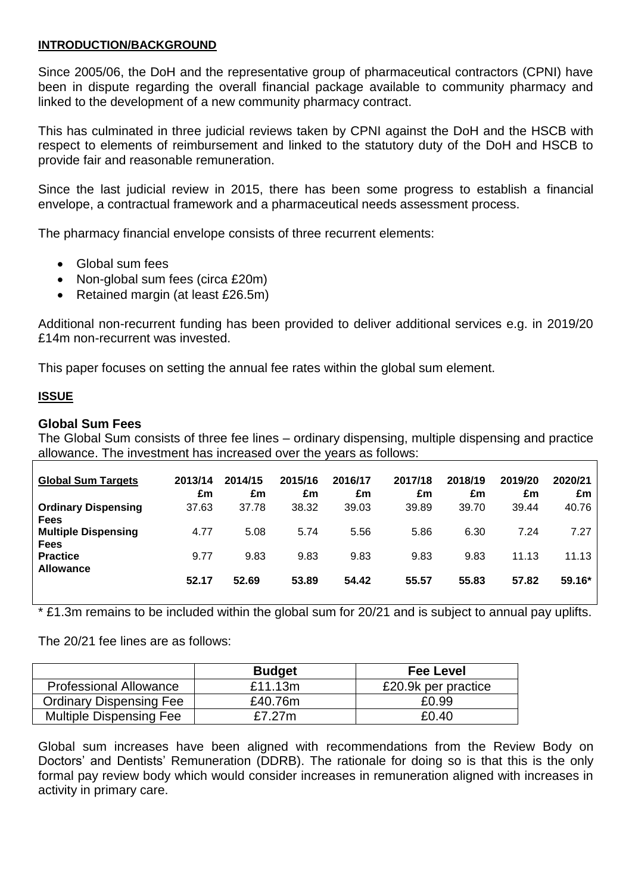### **INTRODUCTION/BACKGROUND**

Since 2005/06, the DoH and the representative group of pharmaceutical contractors (CPNI) have been in dispute regarding the overall financial package available to community pharmacy and linked to the development of a new community pharmacy contract.

This has culminated in three judicial reviews taken by CPNI against the DoH and the HSCB with respect to elements of reimbursement and linked to the statutory duty of the DoH and HSCB to provide fair and reasonable remuneration.

Since the last judicial review in 2015, there has been some progress to establish a financial envelope, a contractual framework and a pharmaceutical needs assessment process.

The pharmacy financial envelope consists of three recurrent elements:

- Global sum fees
- Non-global sum fees (circa £20m)
- Retained margin (at least £26.5m)

Additional non-recurrent funding has been provided to deliver additional services e.g. in 2019/20 £14m non-recurrent was invested.

This paper focuses on setting the annual fee rates within the global sum element.

## **ISSUE**

#### **Global Sum Fees**

The Global Sum consists of three fee lines – ordinary dispensing, multiple dispensing and practice allowance. The investment has increased over the years as follows:

| <b>Global Sum Targets</b>                 | 2013/14<br>£m | 2014/15<br>£m | 2015/16<br>£m | 2016/17<br>£m | 2017/18<br>£m | 2018/19<br>£m | 2019/20<br>£m | 2020/21<br>£m |
|-------------------------------------------|---------------|---------------|---------------|---------------|---------------|---------------|---------------|---------------|
| <b>Ordinary Dispensing</b><br><b>Fees</b> | 37.63         | 37.78         | 38.32         | 39.03         | 39.89         | 39.70         | 39.44         | 40.76         |
| <b>Multiple Dispensing</b><br><b>Fees</b> | 4.77          | 5.08          | 5.74          | 5.56          | 5.86          | 6.30          | 7.24          | 7.27          |
| <b>Practice</b><br><b>Allowance</b>       | 9.77          | 9.83          | 9.83          | 9.83          | 9.83          | 9.83          | 11.13         | 11.13         |
|                                           | 52.17         | 52.69         | 53.89         | 54.42         | 55.57         | 55.83         | 57.82         | $59.16*$      |

\* £1.3m remains to be included within the global sum for 20/21 and is subject to annual pay uplifts.

The 20/21 fee lines are as follows:

|                                | <b>Budget</b> | <b>Fee Level</b>    |
|--------------------------------|---------------|---------------------|
| <b>Professional Allowance</b>  | £11.13m       | £20.9k per practice |
| <b>Ordinary Dispensing Fee</b> | £40.76m       | £0.99               |
| <b>Multiple Dispensing Fee</b> | £7.27m        | £0.40               |

Global sum increases have been aligned with recommendations from the Review Body on Doctors' and Dentists' Remuneration (DDRB). The rationale for doing so is that this is the only formal pay review body which would consider increases in remuneration aligned with increases in activity in primary care.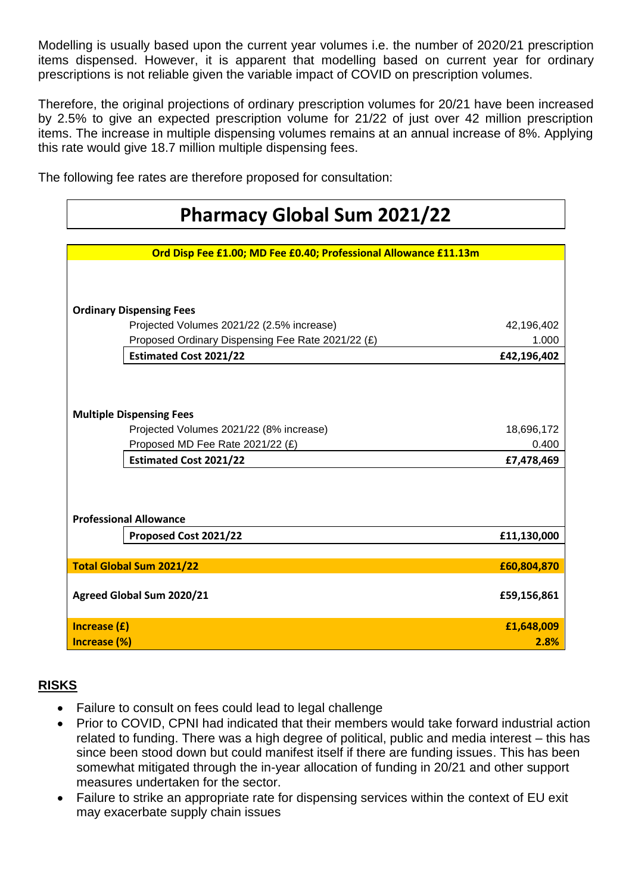Modelling is usually based upon the current year volumes i.e. the number of 2020/21 prescription items dispensed. However, it is apparent that modelling based on current year for ordinary prescriptions is not reliable given the variable impact of COVID on prescription volumes.

Therefore, the original projections of ordinary prescription volumes for 20/21 have been increased by 2.5% to give an expected prescription volume for 21/22 of just over 42 million prescription items. The increase in multiple dispensing volumes remains at an annual increase of 8%. Applying this rate would give 18.7 million multiple dispensing fees.

The following fee rates are therefore proposed for consultation:

|                                 | <b>Pharmacy Global Sum 2021/22</b>                               |             |
|---------------------------------|------------------------------------------------------------------|-------------|
|                                 |                                                                  |             |
|                                 | Ord Disp Fee £1.00; MD Fee £0.40; Professional Allowance £11.13m |             |
|                                 |                                                                  |             |
| <b>Ordinary Dispensing Fees</b> |                                                                  |             |
|                                 | Projected Volumes 2021/22 (2.5% increase)                        | 42,196,402  |
|                                 | Proposed Ordinary Dispensing Fee Rate 2021/22 (£)                | 1.000       |
|                                 | <b>Estimated Cost 2021/22</b>                                    | £42,196,402 |
|                                 |                                                                  |             |
|                                 |                                                                  |             |
| <b>Multiple Dispensing Fees</b> |                                                                  |             |
|                                 | Projected Volumes 2021/22 (8% increase)                          | 18,696,172  |
|                                 | Proposed MD Fee Rate 2021/22 (£)                                 | 0.400       |
|                                 | <b>Estimated Cost 2021/22</b>                                    | £7,478,469  |
|                                 |                                                                  |             |
|                                 |                                                                  |             |
| <b>Professional Allowance</b>   |                                                                  |             |
|                                 | Proposed Cost 2021/22                                            | £11,130,000 |
|                                 |                                                                  |             |
| <b>Total Global Sum 2021/22</b> |                                                                  | £60,804,870 |
|                                 |                                                                  |             |
| Agreed Global Sum 2020/21       |                                                                  | £59,156,861 |
| Increase (£)                    |                                                                  | £1,648,009  |
| Increase (%)                    |                                                                  | 2.8%        |

# **RISKS**

- Failure to consult on fees could lead to legal challenge
- Prior to COVID, CPNI had indicated that their members would take forward industrial action related to funding. There was a high degree of political, public and media interest – this has since been stood down but could manifest itself if there are funding issues. This has been somewhat mitigated through the in-year allocation of funding in 20/21 and other support measures undertaken for the sector.
- Failure to strike an appropriate rate for dispensing services within the context of EU exit may exacerbate supply chain issues